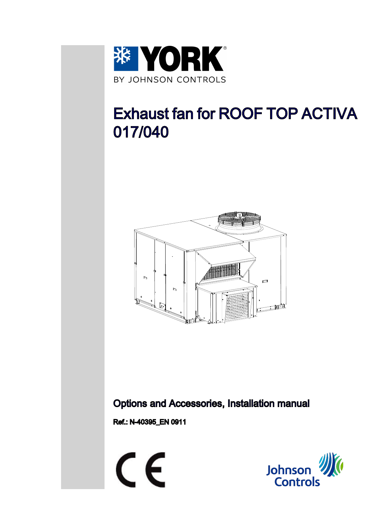

# Exhaust fan for ROOF TOP ACTIVA 017/040



## Options and Accessories, Installation manual

Ref.: N-40395\_EN 0911



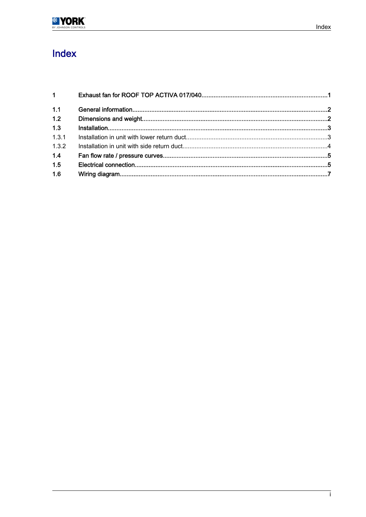

# Index

| $1 \qquad \qquad$ |  |
|-------------------|--|
| 1.1               |  |
| 1.2               |  |
| 1.3               |  |
| 1.3.1             |  |
| 1.3.2             |  |
| 1.4               |  |
| 1.5               |  |
| 1.6               |  |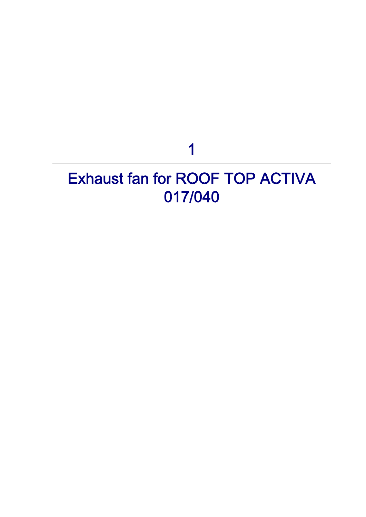1

# <span id="page-2-0"></span>Exhaust fan for ROOF TOP ACTIVA 017/040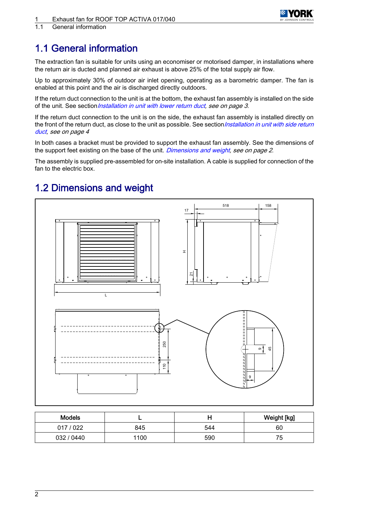

<span id="page-3-0"></span>1.1 General information

# 1.1 General information

The extraction fan is suitable for units using an economiser or motorised damper, in installations where the return air is ducted and planned air exhaust is above 25% of the total supply air flow.

Up to approximately 30% of outdoor air inlet opening, operating as a barometric damper. The fan is enabled at this point and the air is discharged directly outdoors.

If the return duct connection to the unit is at the bottom, the exhaust fan assembly is installed on the side of the unit. See section *[Installation in unit with lower return duct,](#page-4-0) see on page 3*.

If the return duct connection to the unit is on the side, the exhaust fan assembly is installed directly on the front of the return duct, as close to the unit as possible. See section [Installation in unit with side return](#page-5-0) [duct,](#page-5-0) see on page 4

In both cases a bracket must be provided to support the exhaust fan assembly. See the dimensions of the support feet existing on the base of the unit. Dimensions and weight, see on page 2.

The assembly is supplied pre-assembled for on-site installation. A cable is supplied for connection of the fan to the electric box.

## 1.2 Dimensions and weight



| <b>Models</b> |      |     | Weight [kg]    |
|---------------|------|-----|----------------|
| 017/022       | 845  | 544 | 60             |
| 032 / 0440    | 1100 | 590 | 75<br><b>J</b> |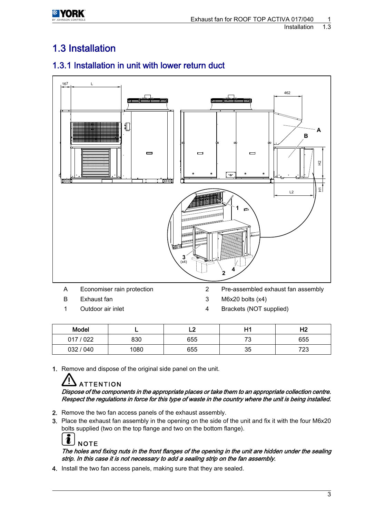<span id="page-4-0"></span>

# 1.3 Installation

## 1.3.1 Installation in unit with lower return duct



- B Exhaust fan 3 M6x20 bolts (x4)
- 
- 
- 
- 1 Outdoor air inlet 1 and 1 Brackets (NOT supplied)

| Model               |      |     | H٢        | பி<br>ПZ  |
|---------------------|------|-----|-----------|-----------|
| / 022<br><b>017</b> | 830  | 655 | 70<br>ں ۔ | 655       |
| 032 / 040           | 1080 | 655 | 35        | フつつ<br>ںے |

1. Remove and dispose of the original side panel on the unit.

# **ATTENTION**

Dispose of the components in the appropriate places or take them to an appropriate collection centre. Respect the regulations in force for this type of waste in the country where the unit is being installed.

- 2. Remove the two fan access panels of the exhaust assembly.
- 3. Place the exhaust fan assembly in the opening on the side of the unit and fix it with the four M6x20 bolts supplied (two on the top flange and two on the bottom flange).



## The holes and fixing nuts in the front flanges of the opening in the unit are hidden under the sealing strip. In this case it is not necessary to add a sealing strip on the fan assembly.

4. Install the two fan access panels, making sure that they are sealed.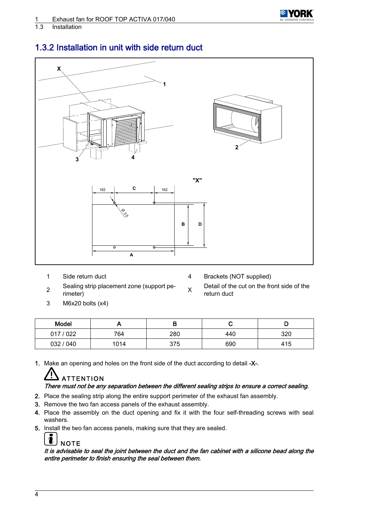

<span id="page-5-0"></span>1.3 Installation



## 1.3.2 Installation in unit with side return duct

- 
- 1 Side return duct 4 Brackets (NOT supplied)
- 2 Sealing strip placement zone (support pe-<br>rimeter)
- 3 M6x20 bolts (x4)

Detail of the cut on the front side of the return duct

| Model     |      |     | ◡   |     |
|-----------|------|-----|-----|-----|
| 017/022   | 764  | 280 | 440 | 320 |
| 032 / 040 | 1014 | 375 | 690 | 415 |

1. Make an opening and holes on the front side of the duct according to detail -X-.

# **ATTENTION**

## There must not be any separation between the different sealing strips to ensure a correct sealing.

- 2. Place the sealing strip along the entire support perimeter of the exhaust fan assembly.
- 3. Remove the two fan access panels of the exhaust assembly.
- 4. Place the assembly on the duct opening and fix it with the four self-threading screws with seal washers.
- 5. Install the two fan access panels, making sure that they are sealed.

### $\mathbf{r}$ **NOTE**

It is advisable to seal the joint between the duct and the fan cabinet with a silicone bead along the entire perimeter to finish ensuring the seal between them.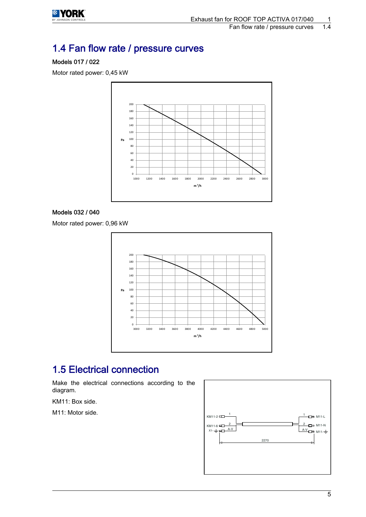<span id="page-6-0"></span>

# 1.4 Fan flow rate / pressure curves

## Models 017 / 022

Motor rated power: 0,45 kW



## Models 032 / 040

Motor rated power: 0,96 kW



## 1.5 Electrical connection

Make the electrical connections according to the diagram.

KM11: Box side.

M11: Motor side.

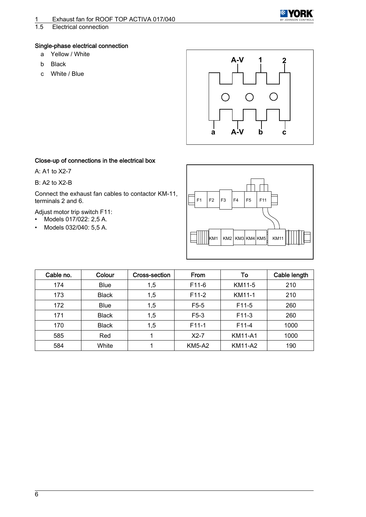

## Single-phase electrical connection

- a Yellow / White
- b Black
- c White / Blue



### Close-up of connections in the electrical box

A: A1 to X2-7

### B: A2 to X2-B

Connect the exhaust fan cables to contactor KM-11, terminals 2 and 6.

Adjust motor trip switch F11:

- Models 017/022: 2,5 A.
- Models 032/040: 5,5 A.



| Cable no. | Colour       | Cross-section | From               | To                 | Cable length |
|-----------|--------------|---------------|--------------------|--------------------|--------------|
| 174       | <b>Blue</b>  | 1,5           | F <sub>11</sub> -6 | KM11-5             | 210          |
| 173       | <b>Black</b> | 1,5           | F <sub>11</sub> -2 | KM11-1             | 210          |
| 172       | <b>Blue</b>  | 1,5           | $F5-5$             | F <sub>11</sub> -5 | 260          |
| 171       | <b>Black</b> | 1,5           | $F5-3$             | $F11-3$            | 260          |
| 170       | <b>Black</b> | 1,5           | F <sub>11</sub> -1 | F11-4              | 1000         |
| 585       | Red          |               | $X2-7$             | <b>KM11-A1</b>     | 1000         |
| 584       | White        |               | <b>KM5-A2</b>      | <b>KM11-A2</b>     | 190          |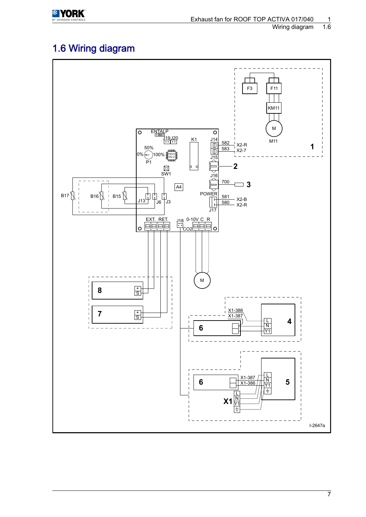<span id="page-8-0"></span>

# 1.6 Wiring diagram